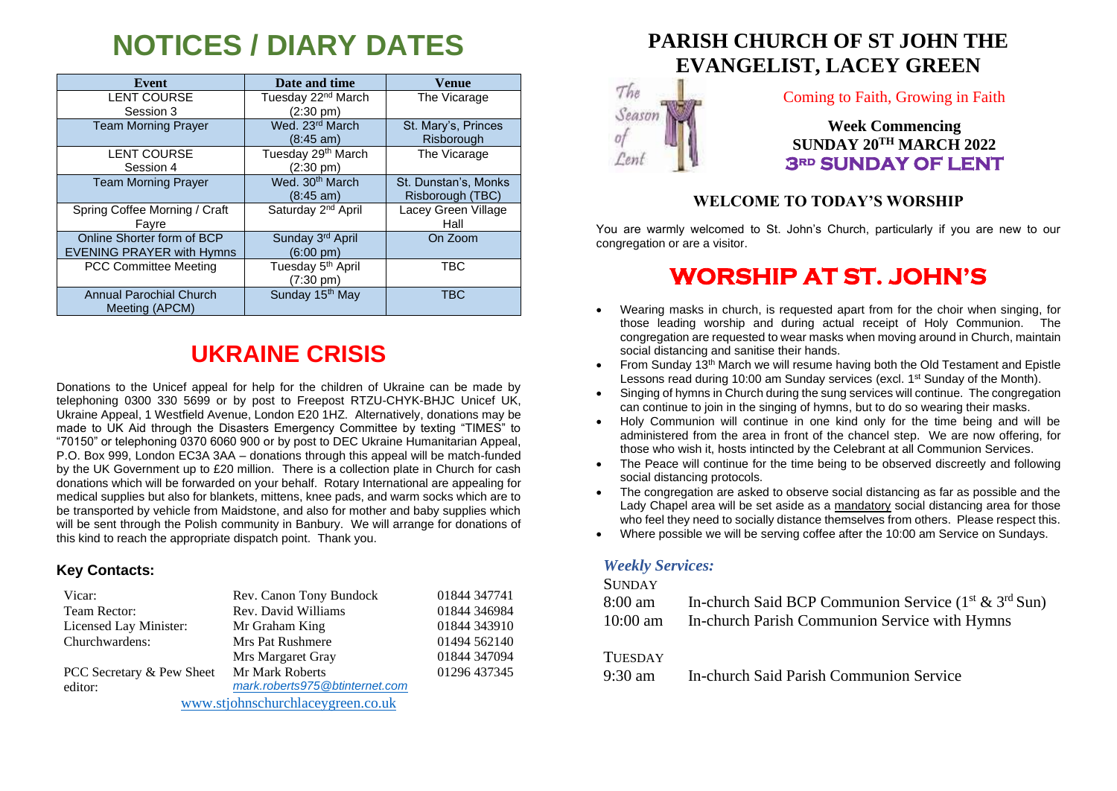# **NOTICES / DIARY DATES**

| Event                            | Date and time                  | <b>Venue</b>         |
|----------------------------------|--------------------------------|----------------------|
| <b>LENT COURSE</b>               | Tuesday 22 <sup>nd</sup> March | The Vicarage         |
| Session 3                        | $(2:30 \text{ pm})$            |                      |
| <b>Team Morning Prayer</b>       | Wed. 23rd March                | St. Mary's, Princes  |
|                                  | $(8:45 \text{ am})$            | Risborough           |
| <b>LENT COURSE</b>               | Tuesday 29th March             | The Vicarage         |
| Session 4                        | $(2:30 \text{ pm})$            |                      |
| <b>Team Morning Prayer</b>       | Wed. 30 <sup>th</sup> March    | St. Dunstan's, Monks |
|                                  | $(8:45 \text{ am})$            | Risborough (TBC)     |
| Spring Coffee Morning / Craft    | Saturday 2 <sup>nd</sup> April | Lacey Green Village  |
| Fayre                            |                                | Hall                 |
| Online Shorter form of BCP       | Sunday 3 <sup>rd</sup> April   | On Zoom              |
| <b>EVENING PRAYER with Hymns</b> | $(6:00 \text{ pm})$            |                      |
| <b>PCC Committee Meeting</b>     | Tuesday 5 <sup>th</sup> April  | <b>TBC</b>           |
|                                  | $(7:30 \text{ pm})$            |                      |
| <b>Annual Parochial Church</b>   | Sunday 15 <sup>th</sup> May    | <b>TBC</b>           |
| Meeting (APCM)                   |                                |                      |

# **UKRAINE CRISIS**

Donations to the Unicef appeal for help for the children of Ukraine can be made by telephoning 0300 330 5699 or by post to Freepost RTZU-CHYK-BHJC Unicef UK, Ukraine Appeal, 1 Westfield Avenue, London E20 1HZ. Alternatively, donations may be made to UK Aid through the Disasters Emergency Committee by texting "TIMES" to "70150" or telephoning 0370 6060 900 or by post to DEC Ukraine Humanitarian Appeal, P.O. Box 999, London EC3A 3AA – donations through this appeal will be match-funded by the UK Government up to £20 million. There is a collection plate in Church for cash donations which will be forwarded on your behalf. Rotary International are appealing for medical supplies but also for blankets, mittens, knee pads, and warm socks which are to be transported by vehicle from Maidstone, and also for mother and baby supplies which will be sent through the Polish community in Banbury. We will arrange for donations of this kind to reach the appropriate dispatch point. Thank you.

### **Key Contacts:**

| Vicar:                            | Rev. Canon Tony Bundock        | 01844 347741 |
|-----------------------------------|--------------------------------|--------------|
| Team Rector:                      | Rev. David Williams            | 01844 346984 |
| Licensed Lay Minister:            | Mr Graham King                 | 01844 343910 |
| Churchwardens:                    | <b>Mrs Pat Rushmere</b>        | 01494 562140 |
|                                   | Mrs Margaret Gray              | 01844 347094 |
| PCC Secretary & Pew Sheet         | Mr Mark Roberts                | 01296 437345 |
| editor:                           | mark.roberts975@btinternet.com |              |
| www.stjohnschurchlaceygreen.co.uk |                                |              |

## **PARISH CHURCH OF ST JOHN THE EVANGELIST, LACEY GREEN**



### Coming to Faith, Growing in Faith

**Week Commencing SUNDAY 20TH MARCH 2022 3rd SUNDAY OF LENT** 

## **WELCOME TO TODAY'S WORSHIP**

You are warmly welcomed to St. John's Church, particularly if you are new to our congregation or are a visitor.

## **WORSHIP AT ST. JOHN'S**

- Wearing masks in church, is requested apart from for the choir when singing, for those leading worship and during actual receipt of Holy Communion. The congregation are requested to wear masks when moving around in Church, maintain social distancing and sanitise their hands.
- From Sunday 13<sup>th</sup> March we will resume having both the Old Testament and Epistle Lessons read during 10:00 am Sunday services (excl. 1<sup>st</sup> Sunday of the Month).
- Singing of hymns in Church during the sung services will continue. The congregation can continue to join in the singing of hymns, but to do so wearing their masks.
- Holy Communion will continue in one kind only for the time being and will be administered from the area in front of the chancel step. We are now offering, for those who wish it, hosts intincted by the Celebrant at all Communion Services.
- The Peace will continue for the time being to be observed discreetly and following social distancing protocols.
- The congregation are asked to observe social distancing as far as possible and the Lady Chapel area will be set aside as a mandatory social distancing area for those who feel they need to socially distance themselves from others. Please respect this.
- Where possible we will be serving coffee after the 10:00 am Service on Sundays.

### *Weekly Services:*

#### **SUNDAY**

| 8:00 am        | In-church Said BCP Communion Service $(1st \& 3rd Sun)$ |
|----------------|---------------------------------------------------------|
|                | 10:00 am In-church Parish Communion Service with Hymns  |
| <b>TUESDAY</b> |                                                         |
|                |                                                         |

9:30 am In-church Said Parish Communion Service